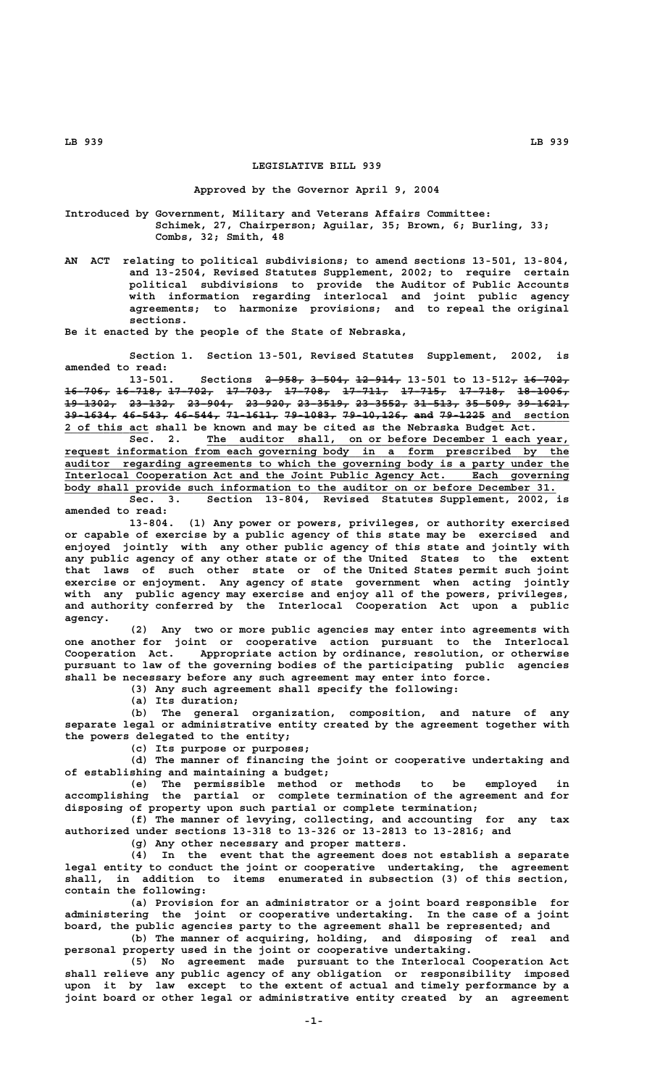## **LEGISLATIVE BILL 939**

## **Approved by the Governor April 9, 2004**

**Introduced by Government, Military and Veterans Affairs Committee: Schimek, 27, Chairperson; Aguilar, 35; Brown, 6; Burling, 33; Combs, 32; Smith, 48**

**AN ACT relating to political subdivisions; to amend sections 13-501, 13-804, and 13-2504, Revised Statutes Supplement, 2002; to require certain political subdivisions to provide the Auditor of Public Accounts with information regarding interlocal and joint public agency agreements; to harmonize provisions; and to repeal the original sections.**

**Be it enacted by the people of the State of Nebraska,**

**Section 1. Section 13-501, Revised Statutes Supplement, 2002, is amended to read:**

13-501. Sections 2-958, 3-504, 12-914, 13-501 to 13-512, 16-702, **16-706, 16-718, 17-702, 17-703, 17-708, 17-711, 17-715, 17-718, 18-1006, ——————— ——————— ——————— ——————— ——————— ——————— ——————— ——————— ———————— 19-1302, 23-132, 23-904, 23-920, 23-3519, 23-3552, 31-513, 35-509, 39-1621, ———————— ——————— ——————— ——————— ———————— ———————— ——————— ——————— ————————** 39-1634, 46-543, 46-544, 71-1611, 79-1083, 79-10,126, and 79-1225 and section  **\_\_\_\_\_\_\_\_\_\_\_\_\_ 2 of this act shall be known and may be cited as the Nebraska Budget Act.**

 **\_\_\_\_\_\_\_\_\_\_\_\_\_\_\_\_\_\_\_\_\_\_\_\_\_\_\_\_\_\_\_\_\_\_\_\_\_\_\_\_\_\_\_\_\_\_\_\_\_\_\_\_\_\_\_\_ Sec. 2. The auditor shall, on or before December 1 each year, \_\_\_\_\_\_\_\_\_\_\_\_\_\_\_\_\_\_\_\_\_\_\_\_\_\_\_\_\_\_\_\_\_\_\_\_\_\_\_\_\_\_\_\_\_\_\_\_\_\_\_\_\_\_\_\_\_\_\_\_\_\_\_\_\_\_\_\_\_\_\_\_\_\_\_\_\_\_ request information from each governing body in a form prescribed by the \_\_\_\_\_\_\_\_\_\_\_\_\_\_\_\_\_\_\_\_\_\_\_\_\_\_\_\_\_\_\_\_\_\_\_\_\_\_\_\_\_\_\_\_\_\_\_\_\_\_\_\_\_\_\_\_\_\_\_\_\_\_\_\_\_\_\_\_\_\_\_\_\_\_\_\_\_\_ auditor regarding agreements to which the governing body is a party under the \_\_\_\_\_\_\_\_\_\_\_\_\_\_\_\_\_\_\_\_\_\_\_\_\_\_\_\_\_\_\_\_\_\_\_\_\_\_\_\_\_\_\_\_\_\_\_\_\_\_\_\_\_\_\_\_\_\_\_\_\_\_\_\_\_\_\_\_\_\_\_\_\_\_\_\_\_\_ Interlocal Cooperation Act and the Joint Public Agency Act. Each governing \_\_\_\_\_\_\_\_\_\_\_\_\_\_\_\_\_\_\_\_\_\_\_\_\_\_\_\_\_\_\_\_\_\_\_\_\_\_\_\_\_\_\_\_\_\_\_\_\_\_\_\_\_\_\_\_\_\_\_\_\_\_\_\_\_\_\_\_\_\_\_\_\_\_\_\_ body shall provide such information to the auditor on or before December 31.**

**Sec. 3. Section 13-804, Revised Statutes Supplement, 2002, is amended to read:**

**13-804. (1) Any power or powers, privileges, or authority exercised or capable of exercise by a public agency of this state may be exercised and enjoyed jointly with any other public agency of this state and jointly with any public agency of any other state or of the United States to the extent that laws of such other state or of the United States permit such joint exercise or enjoyment. Any agency of state government when acting jointly with any public agency may exercise and enjoy all of the powers, privileges, and authority conferred by the Interlocal Cooperation Act upon a public agency.**

**(2) Any two or more public agencies may enter into agreements with one another for joint or cooperative action pursuant to the Interlocal Cooperation Act. Appropriate action by ordinance, resolution, or otherwise pursuant to law of the governing bodies of the participating public agencies shall be necessary before any such agreement may enter into force.**

**(3) Any such agreement shall specify the following:**

**(a) Its duration;**

**(b) The general organization, composition, and nature of any separate legal or administrative entity created by the agreement together with the powers delegated to the entity;**

**(c) Its purpose or purposes;**

**(d) The manner of financing the joint or cooperative undertaking and of establishing and maintaining a budget;**

**(e) The permissible method or methods to be employed in accomplishing the partial or complete termination of the agreement and for disposing of property upon such partial or complete termination;**

**(f) The manner of levying, collecting, and accounting for any tax authorized under sections 13-318 to 13-326 or 13-2813 to 13-2816; and**

**(g) Any other necessary and proper matters.**

**(4) In the event that the agreement does not establish a separate legal entity to conduct the joint or cooperative undertaking, the agreement shall, in addition to items enumerated in subsection (3) of this section, contain the following:**

**(a) Provision for an administrator or a joint board responsible for administering the joint or cooperative undertaking. In the case of a joint board, the public agencies party to the agreement shall be represented; and (b) The manner of acquiring, holding, and disposing of real and**

**personal property used in the joint or cooperative undertaking.**

**(5) No agreement made pursuant to the Interlocal Cooperation Act shall relieve any public agency of any obligation or responsibility imposed upon it by law except to the extent of actual and timely performance by a joint board or other legal or administrative entity created by an agreement**